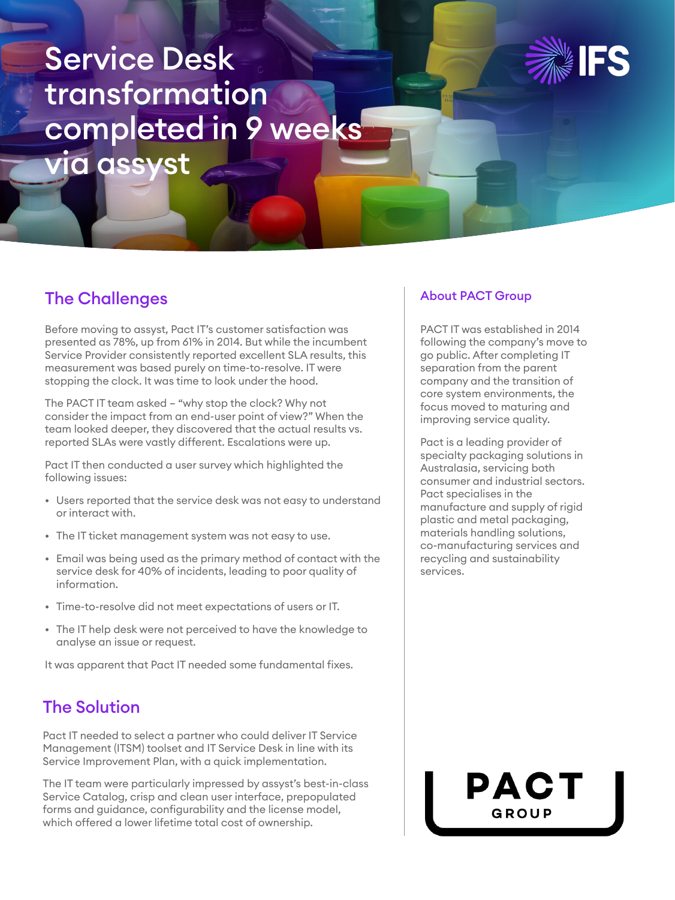# Service Desk transformation completed in 9 weeks via assyst



# The Challenges

Before moving to assyst, Pact IT's customer satisfaction was presented as 78%, up from 61% in 2014. But while the incumbent Service Provider consistently reported excellent SLA results, this measurement was based purely on time-to-resolve. IT were stopping the clock. It was time to look under the hood.

The PACT IT team asked – "why stop the clock? Why not consider the impact from an end-user point of view?" When the team looked deeper, they discovered that the actual results vs. reported SLAs were vastly different. Escalations were up.

Pact IT then conducted a user survey which highlighted the following issues:

- Users reported that the service desk was not easy to understand or interact with.
- The IT ticket management system was not easy to use.
- Email was being used as the primary method of contact with the service desk for 40% of incidents, leading to poor quality of information.
- Time-to-resolve did not meet expectations of users or IT.
- The IT help desk were not perceived to have the knowledge to analyse an issue or request.

It was apparent that Pact IT needed some fundamental fixes.

# The Solution

Pact IT needed to select a partner who could deliver IT Service Management (ITSM) toolset and IT Service Desk in line with its Service Improvement Plan, with a quick implementation.

The IT team were particularly impressed by assyst's best-in-class Service Catalog, crisp and clean user interface, prepopulated forms and guidance, configurability and the license model, which offered a lower lifetime total cost of ownership.

#### About PACT Group

PACT IT was established in 2014 following the company's move to go public. After completing IT separation from the parent company and the transition of core system environments, the focus moved to maturing and improving service quality.

Pact is a leading provider of specialty packaging solutions in Australasia, servicing both consumer and industrial sectors. Pact specialises in the manufacture and supply of rigid plastic and metal packaging, materials handling solutions, co-manufacturing services and recycling and sustainability services.